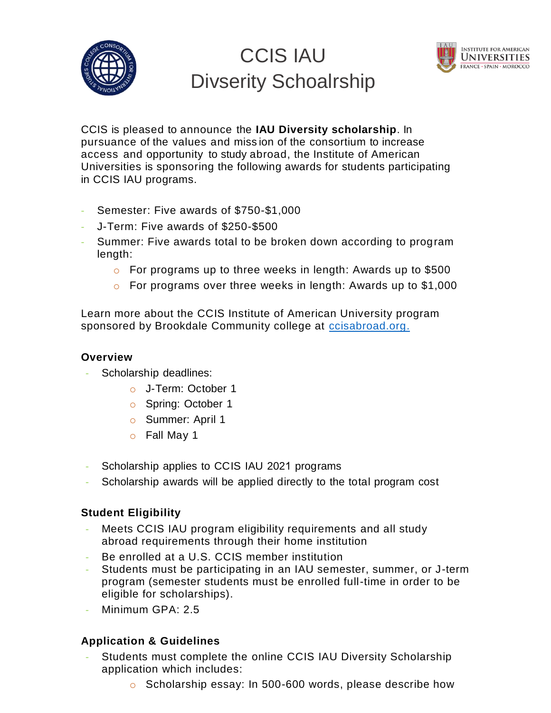

# CCIS IAU Divserity Schoalrship



CCIS is pleased to announce the **IAU Diversity scholarship**. In pursuance of the values and miss ion of the consortium to increase access and opportunity to study abroad, the Institute of American Universities is sponsoring the following awards for students participating in CCIS IAU programs.

- Semester: Five awards of \$750-\$1,000
- J-Term: Five awards of \$250-\$500
- Summer: Five awards total to be broken down according to program length:
	- o For programs up to three weeks in length: Awards up to \$500
	- o For programs over three weeks in length: Awards up to \$1,000

Learn more about the CCIS Institute of American University program sponsored by Brookdale Community college at [ccisabroad.org.](http://www.ccisabroad.org/)

## **Overview**

- Scholarship deadlines:
	- o J-Term: October 1
	- o Spring: October 1
	- o Summer: April 1
	- o Fall May 1
- Scholarship applies to CCIS IAU 2021 programs
- Scholarship awards will be applied directly to the total program cost

## **Student Eligibility**

- Meets CCIS IAU program eligibility requirements and all study abroad requirements through their home institution
- Be enrolled at a U.S. CCIS member institution
- Students must be participating in an IAU semester, summer, or J-term program (semester students must be enrolled full-time in order to be eligible for scholarships).
- Minimum GPA: 2.5

## **Application & Guidelines**

- Students must complete the online CCIS IAU Diversity Scholarship application which includes:
	- o Scholarship essay: In 500-600 words, please describe how